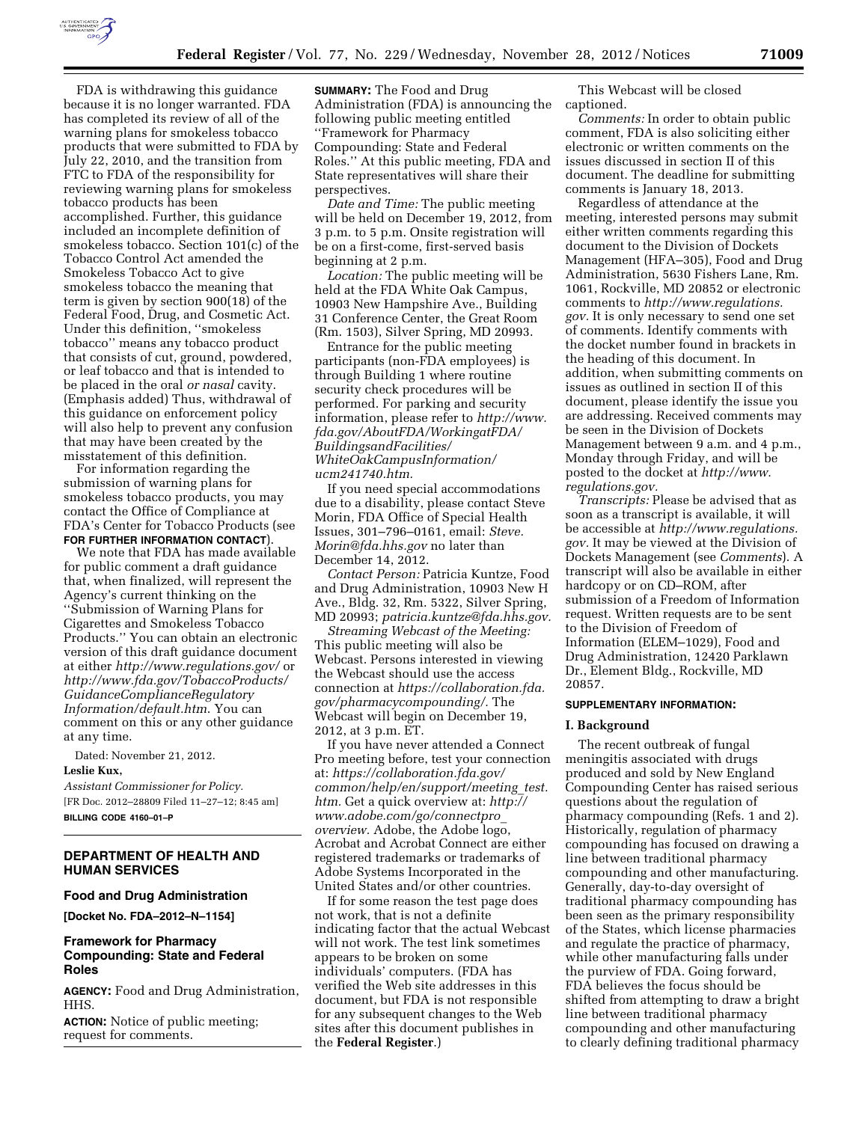

FDA is withdrawing this guidance because it is no longer warranted. FDA has completed its review of all of the warning plans for smokeless tobacco products that were submitted to FDA by July 22, 2010, and the transition from FTC to FDA of the responsibility for reviewing warning plans for smokeless tobacco products has been accomplished. Further, this guidance included an incomplete definition of smokeless tobacco. Section 101(c) of the Tobacco Control Act amended the Smokeless Tobacco Act to give smokeless tobacco the meaning that term is given by section 900(18) of the Federal Food, Drug, and Cosmetic Act. Under this definition, ''smokeless tobacco'' means any tobacco product that consists of cut, ground, powdered, or leaf tobacco and that is intended to be placed in the oral *or nasal* cavity. (Emphasis added) Thus, withdrawal of this guidance on enforcement policy will also help to prevent any confusion that may have been created by the misstatement of this definition.

For information regarding the submission of warning plans for smokeless tobacco products, you may contact the Office of Compliance at FDA's Center for Tobacco Products (see **FOR FURTHER INFORMATION CONTACT**).

We note that FDA has made available for public comment a draft guidance that, when finalized, will represent the Agency's current thinking on the ''Submission of Warning Plans for Cigarettes and Smokeless Tobacco Products.'' You can obtain an electronic version of this draft guidance document at either *<http://www.regulations.gov/>* or *[http://www.fda.gov/TobaccoProducts/](http://www.fda.gov/TobaccoProducts/GuidanceComplianceRegulatoryInformation/default.htm) [GuidanceComplianceRegulatory](http://www.fda.gov/TobaccoProducts/GuidanceComplianceRegulatoryInformation/default.htm) [Information/default.htm](http://www.fda.gov/TobaccoProducts/GuidanceComplianceRegulatoryInformation/default.htm)*. You can comment on this or any other guidance at any time.

Dated: November 21, 2012. **Leslie Kux,** 

*Assistant Commissioner for Policy.*  [FR Doc. 2012–28809 Filed 11–27–12; 8:45 am] **BILLING CODE 4160–01–P** 

## **DEPARTMENT OF HEALTH AND HUMAN SERVICES**

#### **Food and Drug Administration**

**[Docket No. FDA–2012–N–1154]** 

### **Framework for Pharmacy Compounding: State and Federal Roles**

**AGENCY:** Food and Drug Administration, HHS.

**ACTION:** Notice of public meeting; request for comments.

**SUMMARY:** The Food and Drug Administration (FDA) is announcing the following public meeting entitled ''Framework for Pharmacy Compounding: State and Federal Roles.'' At this public meeting, FDA and State representatives will share their perspectives.

*Date and Time:* The public meeting will be held on December 19, 2012, from 3 p.m. to 5 p.m. Onsite registration will be on a first-come, first-served basis beginning at 2 p.m.

*Location:* The public meeting will be held at the FDA White Oak Campus, 10903 New Hampshire Ave., Building 31 Conference Center, the Great Room (Rm. 1503), Silver Spring, MD 20993.

Entrance for the public meeting participants (non-FDA employees) is through Building 1 where routine security check procedures will be performed. For parking and security information, please refer to *[http://www.](http://www.fda.gov/AboutFDA/WorkingatFDA/BuildingsandFacilities/WhiteOakCampusInformation/ucm241740.htm) [fda.gov/AboutFDA/WorkingatFDA/](http://www.fda.gov/AboutFDA/WorkingatFDA/BuildingsandFacilities/WhiteOakCampusInformation/ucm241740.htm) [BuildingsandFacilities/](http://www.fda.gov/AboutFDA/WorkingatFDA/BuildingsandFacilities/WhiteOakCampusInformation/ucm241740.htm) [WhiteOakCampusInformation/](http://www.fda.gov/AboutFDA/WorkingatFDA/BuildingsandFacilities/WhiteOakCampusInformation/ucm241740.htm) [ucm241740.htm.](http://www.fda.gov/AboutFDA/WorkingatFDA/BuildingsandFacilities/WhiteOakCampusInformation/ucm241740.htm)* 

If you need special accommodations due to a disability, please contact Steve Morin, FDA Office of Special Health Issues, 301–796–0161, email: *Steve. Morin@fda.hhs.gov* no later than December 14, 2012.

*Contact Person:* Patricia Kuntze, Food and Drug Administration, 10903 New H Ave., Bldg. 32, Rm. 5322, Silver Spring, MD 20993; *[patricia.kuntze@fda.hhs.gov.](mailto:patricia.kuntze@fda.hhs.gov)* 

*Streaming Webcast of the Meeting:*  This public meeting will also be Webcast. Persons interested in viewing the Webcast should use the access connection at *[https://collaboration.fda.](https://collaboration.fda.gov/pharmacycompounding/) [gov/pharmacycompounding/.](https://collaboration.fda.gov/pharmacycompounding/)* The Webcast will begin on December 19, 2012, at 3 p.m. ET.

If you have never attended a Connect Pro meeting before, test your connection at: *[https://collaboration.fda.gov/](https://collaboration.fda.gov/common/help/en/support/meeting_test.htm) [common/help/en/support/meeting](https://collaboration.fda.gov/common/help/en/support/meeting_test.htm)*\_*test. [htm.](https://collaboration.fda.gov/common/help/en/support/meeting_test.htm)* Get a quick overview at: *[http://](http://www.adobe.com/go/connectpro_overview) [www.adobe.com/go/connectpro](http://www.adobe.com/go/connectpro_overview)*\_ *[overview.](http://www.adobe.com/go/connectpro_overview)* Adobe, the Adobe logo, Acrobat and Acrobat Connect are either registered trademarks or trademarks of Adobe Systems Incorporated in the United States and/or other countries.

If for some reason the test page does not work, that is not a definite indicating factor that the actual Webcast will not work. The test link sometimes appears to be broken on some individuals' computers. (FDA has verified the Web site addresses in this document, but FDA is not responsible for any subsequent changes to the Web sites after this document publishes in the **Federal Register**.)

This Webcast will be closed captioned.

*Comments:* In order to obtain public comment, FDA is also soliciting either electronic or written comments on the issues discussed in section II of this document. The deadline for submitting comments is January 18, 2013.

Regardless of attendance at the meeting, interested persons may submit either written comments regarding this document to the Division of Dockets Management (HFA–305), Food and Drug Administration, 5630 Fishers Lane, Rm. 1061, Rockville, MD 20852 or electronic comments to *[http://www.regulations.](http://www.regulations.gov) [gov.](http://www.regulations.gov)* It is only necessary to send one set of comments. Identify comments with the docket number found in brackets in the heading of this document. In addition, when submitting comments on issues as outlined in section II of this document, please identify the issue you are addressing. Received comments may be seen in the Division of Dockets Management between 9 a.m. and 4 p.m., Monday through Friday, and will be posted to the docket at *[http://www.](http://www.regulations.gov) [regulations.gov.](http://www.regulations.gov)* 

*Transcripts:* Please be advised that as soon as a transcript is available, it will be accessible at *[http://www.regulations.](http://www.regulations.gov) [gov.](http://www.regulations.gov)* It may be viewed at the Division of Dockets Management (see *Comments*). A transcript will also be available in either hardcopy or on CD–ROM, after submission of a Freedom of Information request. Written requests are to be sent to the Division of Freedom of Information (ELEM–1029), Food and Drug Administration, 12420 Parklawn Dr., Element Bldg., Rockville, MD 20857.

#### **SUPPLEMENTARY INFORMATION:**

### **I. Background**

The recent outbreak of fungal meningitis associated with drugs produced and sold by New England Compounding Center has raised serious questions about the regulation of pharmacy compounding (Refs. 1 and 2). Historically, regulation of pharmacy compounding has focused on drawing a line between traditional pharmacy compounding and other manufacturing. Generally, day-to-day oversight of traditional pharmacy compounding has been seen as the primary responsibility of the States, which license pharmacies and regulate the practice of pharmacy, while other manufacturing falls under the purview of FDA. Going forward, FDA believes the focus should be shifted from attempting to draw a bright line between traditional pharmacy compounding and other manufacturing to clearly defining traditional pharmacy